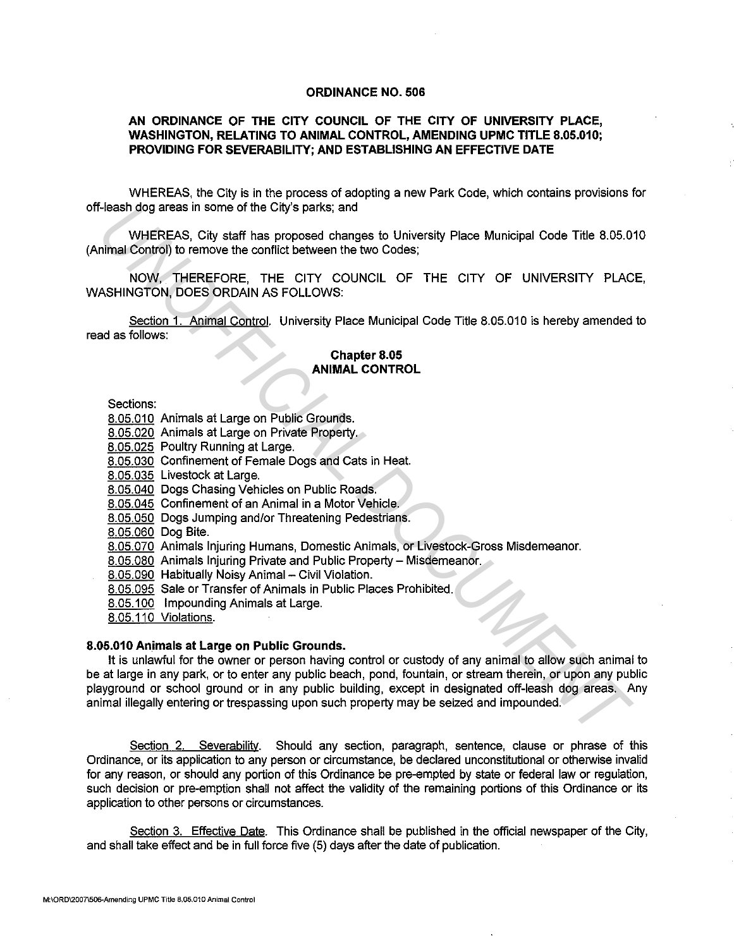## ORDINANCE NO. 506

## AN ORDINANCE OF THE CITY COUNCIL OF THE CITY OF UNIVERSITY PLACE, WASHINGTON, RELATING TO ANIMAL CONTROL, AMENDING UPMC TITLE 8.05.010; PROVIDING FOR SEVERABILITY; AND ESTABLISHING AN EFFECTIVE DATE

WHEREAS, the City is in the process of adopting a new Park Code, which contains provisions for off-leash dog areas in some of the City's parks; and

WHEREAS, City staff has proposed changes to University Place Municipal Code Title 8.05.010 (Animal Control) to remove the conflict between the two Codes;

NOW, THEREFORE, THE CITY COUNCIL OF THE CITY OF UNIVERSITY PLACE, WASHINGTON, DOES ORDAIN AS FOLLOWS:

Section 1. Animal Control. University Place Municipal Code Title 8.05.010 is hereby amended to read as follows:

## Chapter 8.05 ANIMAL CONTROL

Sections:

- 8.05.010 Animals at Large on Public Grounds.
- 8.05.020 Animals at Large on Private Property.
- 8.05.025 Poultry Running at Large.
- 8.05.030 Confinement of Female Dogs and Cats in Heat.

8.05.035 Livestock at Large.

- 8.05.040 Dogs Chasing Vehicles on Public Roads.
- 8.05.045 Confinement of an Animal in a Motor Vehicle.
- 8.05.050 Dogs Jumping and/or Threatening Pedestrians.
- 8.05.060 Dog Bite.
- 8.05.070 Animals Injuring Humans, Domestic Animals, or Livestock-Gross Misdemeanor.
- 8.05.080 Animals Injuring Private and Public Property- Misdemeanor.
- 8.05.090 Habitually Noisy Animal Civil Violation.
- 8.05.095 Sale or Transfer of Animals in Public Places Prohibited.
- 8.05.100 Impounding Animals at Large.
- 8.05.110 Violations.

## 8.05.010 Animals at Large on Public Grounds.

It is unlawful for the owner or person having control or custody of any animal to allow such animal to be at large in any park, or to enter any public beach, pond, fountain, or stream therein, or upon any public playground or school ground or in any public building, except in designated off-leash dog areas. Any animal illegally entering or trespassing upon such property may be seized and impounded. **EXERCISE CONSTRANGING THE CONSTRANGING CONSTRANGING CONSTRANGING CONSTRANGING CONSTRANGING CONSTRANGING CONSTRANGING CONSTRANGING CONSTRANGING CONSTRANGING CONSTRANGING CONSTRANGING CONSTRANGING THE CITY COUNCIL OF THE CI** 

Section 2. Severability. Should any section, paragraph, sentence, clause or phrase of this Ordinance, or its application to any person or circumstance, be declared unconstitutional or otherwise invalid for any reason, or should any portion of this Ordinance be pre-empted by state or federal law or regulation, such decision or pre-emption shall not affect the validity of the remaining portions of this Ordinance or its application to other persons or circumstances.

Section 3. Effective Date. This Ordinance shall be published in the official newspaper of the City, and shall take effect and be in full force five (5) days after the date of publication.